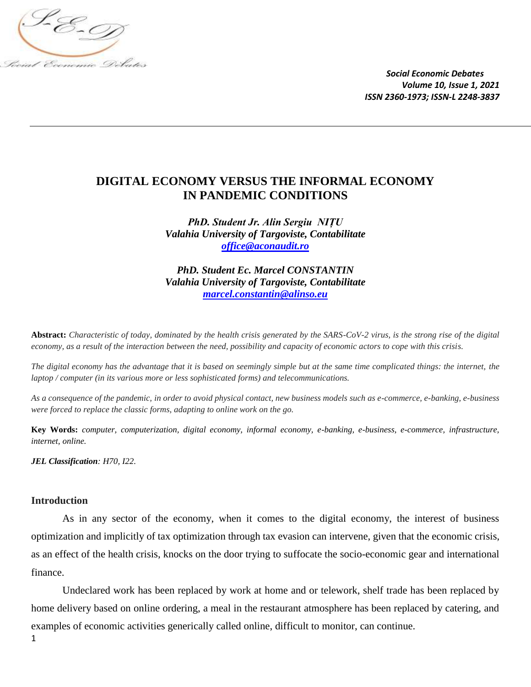

## **DIGITAL ECONOMY VERSUS THE INFORMAL ECONOMY IN PANDEMIC CONDITIONS**

*PhD. Student Jr. Alin Sergiu NIȚU Valahia University of Targoviste, Contabilitate [office@aconaudit.ro](mailto:office@aconaudit.ro)*

*PhD. Student Ec. Marcel CONSTANTIN Valahia University of Targoviste, Contabilitate [marcel.constantin@alinso.eu](mailto:marcel.constantin@alinso.eu)*

**Abstract:** *Characteristic of today, dominated by the health crisis generated by the SARS-CoV-2 virus, is the strong rise of the digital economy, as a result of the interaction between the need, possibility and capacity of economic actors to cope with this crisis.*

*The digital economy has the advantage that it is based on seemingly simple but at the same time complicated things: the internet, the laptop / computer (in its various more or less sophisticated forms) and telecommunications.*

*As a consequence of the pandemic, in order to avoid physical contact, new business models such as e-commerce, e-banking, e-business were forced to replace the classic forms, adapting to online work on the go.*

**Key Words:** *computer, computerization, digital economy, informal economy, e-banking, e-business, e-commerce, infrastructure, internet, online.*

*JEL Classification: H70, I22.*

## **Introduction**

As in any sector of the economy, when it comes to the digital economy, the interest of business optimization and implicitly of tax optimization through tax evasion can intervene, given that the economic crisis, as an effect of the health crisis, knocks on the door trying to suffocate the socio-economic gear and international finance.

Undeclared work has been replaced by work at home and or telework, shelf trade has been replaced by home delivery based on online ordering, a meal in the restaurant atmosphere has been replaced by catering, and examples of economic activities generically called online, difficult to monitor, can continue.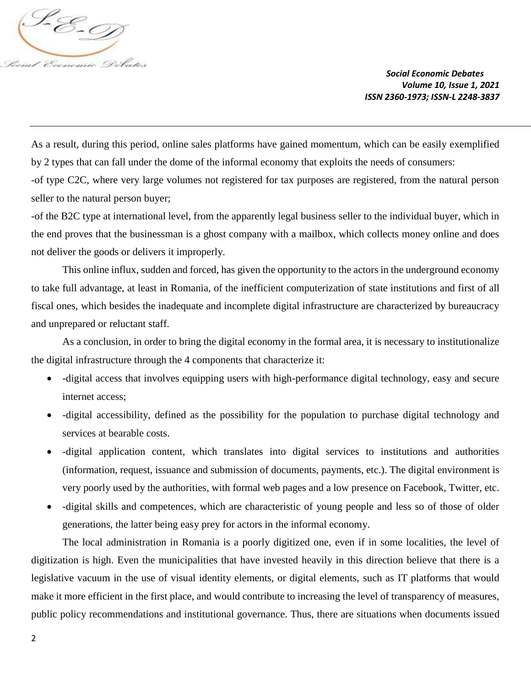

As a result, during this period, online sales platforms have gained momentum, which can be easily exemplified by 2 types that can fall under the dome of the informal economy that exploits the needs of consumers: -of type C2C, where very large volumes not registered for tax purposes are registered, from the natural person seller to the natural person buyer;

-of the B2C type at international level, from the apparently legal business seller to the individual buyer, which in the end proves that the businessman is a ghost company with a mailbox, which collects money online and does not deliver the goods or delivers it improperly.

This online influx, sudden and forced, has given the opportunity to the actors in the underground economy to take full advantage, at least in Romania, of the inefficient computerization of state institutions and first of all fiscal ones, which besides the inadequate and incomplete digital infrastructure are characterized by bureaucracy and unprepared or reluctant staff.

As a conclusion, in order to bring the digital economy in the formal area, it is necessary to institutionalize the digital infrastructure through the 4 components that characterize it:

- -digital access that involves equipping users with high-performance digital technology, easy and secure internet access;
- -digital accessibility, defined as the possibility for the population to purchase digital technology and services at bearable costs.
- -digital application content, which translates into digital services to institutions and authorities (information, request, issuance and submission of documents, payments, etc.). The digital environment is very poorly used by the authorities, with formal web pages and a low presence on Facebook, Twitter, etc.
- -digital skills and competences, which are characteristic of young people and less so of those of older generations, the latter being easy prey for actors in the informal economy.

The local administration in Romania is a poorly digitized one, even if in some localities, the level of digitization is high. Even the municipalities that have invested heavily in this direction believe that there is a legislative vacuum in the use of visual identity elements, or digital elements, such as IT platforms that would make it more efficient in the first place, and would contribute to increasing the level of transparency of measures, public policy recommendations and institutional governance. Thus, there are situations when documents issued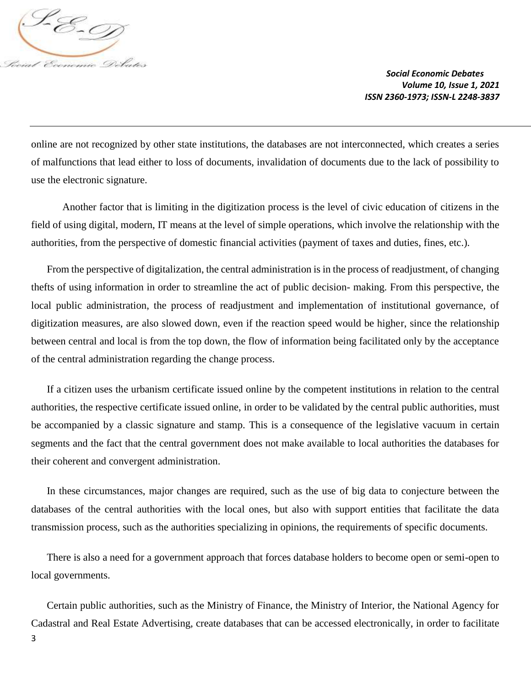

online are not recognized by other state institutions, the databases are not interconnected, which creates a series of malfunctions that lead either to loss of documents, invalidation of documents due to the lack of possibility to use the electronic signature.

Another factor that is limiting in the digitization process is the level of civic education of citizens in the field of using digital, modern, IT means at the level of simple operations, which involve the relationship with the authorities, from the perspective of domestic financial activities (payment of taxes and duties, fines, etc.).

From the perspective of digitalization, the central administration is in the process of readjustment, of changing thefts of using information in order to streamline the act of public decision- making. From this perspective, the local public administration, the process of readjustment and implementation of institutional governance, of digitization measures, are also slowed down, even if the reaction speed would be higher, since the relationship between central and local is from the top down, the flow of information being facilitated only by the acceptance of the central administration regarding the change process.

If a citizen uses the urbanism certificate issued online by the competent institutions in relation to the central authorities, the respective certificate issued online, in order to be validated by the central public authorities, must be accompanied by a classic signature and stamp. This is a consequence of the legislative vacuum in certain segments and the fact that the central government does not make available to local authorities the databases for their coherent and convergent administration.

In these circumstances, major changes are required, such as the use of big data to conjecture between the databases of the central authorities with the local ones, but also with support entities that facilitate the data transmission process, such as the authorities specializing in opinions, the requirements of specific documents.

There is also a need for a government approach that forces database holders to become open or semi-open to local governments.

Certain public authorities, such as the Ministry of Finance, the Ministry of Interior, the National Agency for Cadastral and Real Estate Advertising, create databases that can be accessed electronically, in order to facilitate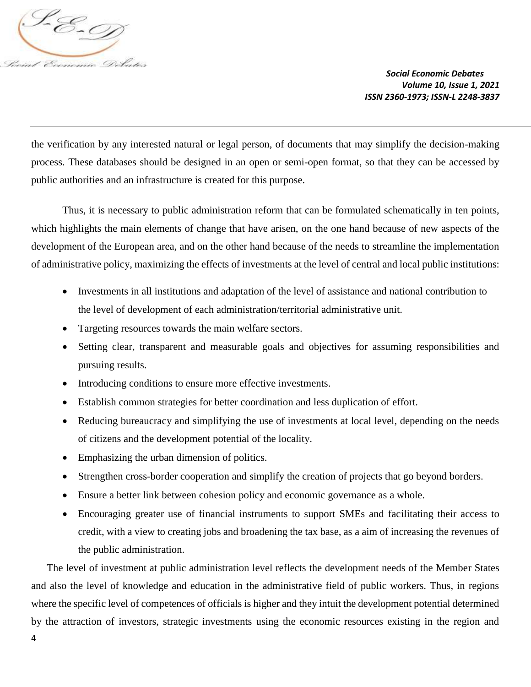

the verification by any interested natural or legal person, of documents that may simplify the decision-making process. These databases should be designed in an open or semi-open format, so that they can be accessed by public authorities and an infrastructure is created for this purpose.

Thus, it is necessary to public administration reform that can be formulated schematically in ten points, which highlights the main elements of change that have arisen, on the one hand because of new aspects of the development of the European area, and on the other hand because of the needs to streamline the implementation of administrative policy, maximizing the effects of investments at the level of central and local public institutions:

- Investments in all institutions and adaptation of the level of assistance and national contribution to the level of development of each administration/territorial administrative unit.
- Targeting resources towards the main welfare sectors.
- Setting clear, transparent and measurable goals and objectives for assuming responsibilities and pursuing results.
- Introducing conditions to ensure more effective investments.
- Establish common strategies for better coordination and less duplication of effort.
- Reducing bureaucracy and simplifying the use of investments at local level, depending on the needs of citizens and the development potential of the locality.
- Emphasizing the urban dimension of politics.
- Strengthen cross-border cooperation and simplify the creation of projects that go beyond borders.
- Ensure a better link between cohesion policy and economic governance as a whole.
- Encouraging greater use of financial instruments to support SMEs and facilitating their access to credit, with a view to creating jobs and broadening the tax base, as a aim of increasing the revenues of the public administration.

The level of investment at public administration level reflects the development needs of the Member States and also the level of knowledge and education in the administrative field of public workers. Thus, in regions where the specific level of competences of officials is higher and they intuit the development potential determined by the attraction of investors, strategic investments using the economic resources existing in the region and